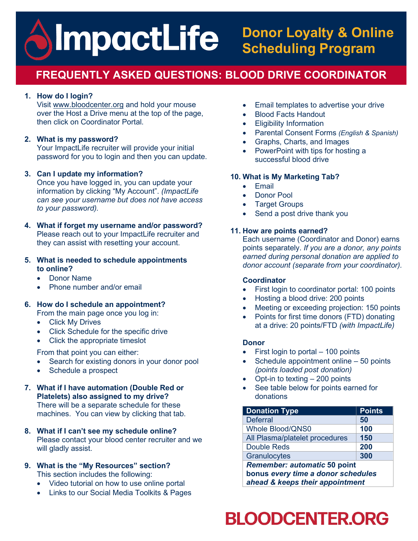## **ImpactLife Donor Loyalty & Online Scheduling Program**

## **FREQUENTLY ASKED QUESTIONS: BLOOD DRIVE COORDINATOR**

#### **1. How do I login?**

Visit [www.bloodcenter.org](http://www.bloodcenterimpact.org/) and hold your mouse over the Host a Drive menu at the top of the page, then click on Coordinator Portal.

#### **2. What is my password?**

Your ImpactLife recruiter will provide your initial password for you to login and then you can update.

#### **3. Can I update my information?**

Once you have logged in, you can update your information by clicking "My Account". *(ImpactLife can see your username but does not have access to your password).*

#### **4. What if forget my username and/or password?** Please reach out to your ImpactLife recruiter and

they can assist with resetting your account.

#### **5. What is needed to schedule appointments to online?**

- Donor Name
- Phone number and/or email

#### **6. How do I schedule an appointment?**

- From the main page once you log in:
- Click My Drives
- Click Schedule for the specific drive
- Click the appropriate timeslot

From that point you can either:

- Search for existing donors in your donor pool
- Schedule a prospect
- **7. What if I have automation (Double Red or Platelets) also assigned to my drive?** There will be a separate schedule for these machines. You can view by clicking that tab.
- **8. What if I can't see my schedule online?** Please contact your blood center recruiter and we will gladly assist.
- **9. What is the "My Resources" section?**  This section includes the following:
	- Video tutorial on how to use online portal
	- Links to our Social Media Toolkits & Pages
- Email templates to advertise your drive
- Blood Facts Handout
- **Eligibility Information**
- Parental Consent Forms *(English & Spanish)*
- Graphs, Charts, and Images
- PowerPoint with tips for hosting a successful blood drive

#### **10. What is My Marketing Tab?**

- Email
- Donor Pool
- **Target Groups**
- Send a post drive thank you

#### **11. How are points earned?**

Each username (Coordinator and Donor) earns points separately. *If you are a donor, any points earned during personal donation are applied to donor account (separate from your coordinator).* 

#### **Coordinator**

- First login to coordinator portal: 100 points
- Hosting a blood drive: 200 points
- Meeting or exceeding projection: 150 points
- Points for first time donors (FTD) donating at a drive: 20 points/FTD *(with ImpactLife)*

#### **Donor**

- First login to portal 100 points
- Schedule appointment online 50 points *(points loaded post donation)*
- Opt-in to texting 200 points
- See table below for points earned for donations

| <b>Donation Type</b>                                                                                         | <b>Points</b> |  |
|--------------------------------------------------------------------------------------------------------------|---------------|--|
| <b>Deferral</b>                                                                                              | 50            |  |
| <b>Whole Blood/QNS0</b>                                                                                      | 100           |  |
| All Plasma/platelet procedures                                                                               | 150           |  |
| <b>Double Reds</b>                                                                                           | 200           |  |
| Granulocytes                                                                                                 | 300           |  |
| <b>Remember: automatic 50 point</b><br>bonus every time a donor schedules<br>ahead & keeps their appointment |               |  |

# **BLOODCENTER.ORG**